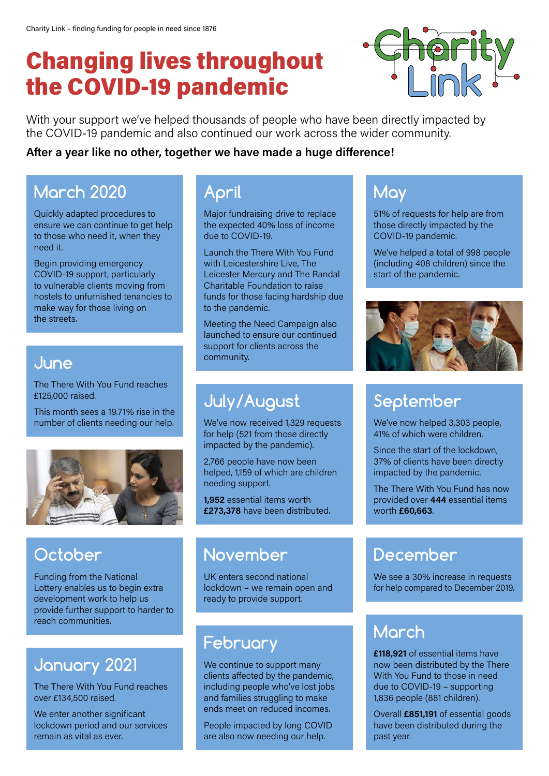# Changing lives throughout the COVID-19 pandemic



With your support we've helped thousands of people who have been directly impacted by the COVID-19 pandemic and also continued our work across the wider community.

#### **After a year like no other, together we have made a huge difference!**

#### **March 2020**

Quickly adapted procedures to ensure we can continue to get help to those who need it, when they need it.

Begin providing emergency COVID-19 support, particularly to vulnerable clients moving from hostels to unfurnished tenancies to make way for those living on the streets.

#### **June**

The There With You Fund reaches £125,000 raised.

This month sees a 19.71% rise in the number of clients needing our help.



# **October**

Funding from the National Lottery enables us to begin extra development work to help us provide further support to harder to reach communities.

## **January 2021**

The There With You Fund reaches over £134,500 raised.

We enter another significant lockdown period and our services remain as vital as ever.

#### **April**

Major fundraising drive to replace the expected 40% loss of income due to COVID-19.

Launch the There With You Fund with Leicestershire Live, The Leicester Mercury and The Randal Charitable Foundation to raise funds for those facing hardship due to the pandemic.

Meeting the Need Campaign also launched to ensure our continued support for clients across the community.

## **July/August**

We've now received 1,329 requests for help (521 from those directly impacted by the pandemic).

2,766 people have now been helped, 1,159 of which are children needing support.

**1,952** essential items worth **£273,378** have been distributed.

#### **November**

UK enters second national lockdown – we remain open and ready to provide support.

## **February**

We continue to support many clients affected by the pandemic, including people who've lost jobs and families struggling to make ends meet on reduced incomes.

People impacted by long COVID are also now needing our help.

#### **May**

51% of requests for help are from those directly impacted by the COVID-19 pandemic.

We've helped a total of 998 people (including 408 children) since the start of the pandemic.



# **September**

We've now helped 3,303 people, 41% of which were children.

Since the start of the lockdown, 37% of clients have been directly impacted by the pandemic.

The There With You Fund has now provided over **444** essential items worth **£60,663**.

## **December**

We see a 30% increase in requests for help compared to December 2019.

#### **March**

**£118,921** of essential items have now been distributed by the There With You Fund to those in need due to COVID-19 – supporting 1,836 people (881 children).

Overall **£851,191** of essential goods have been distributed during the past year.